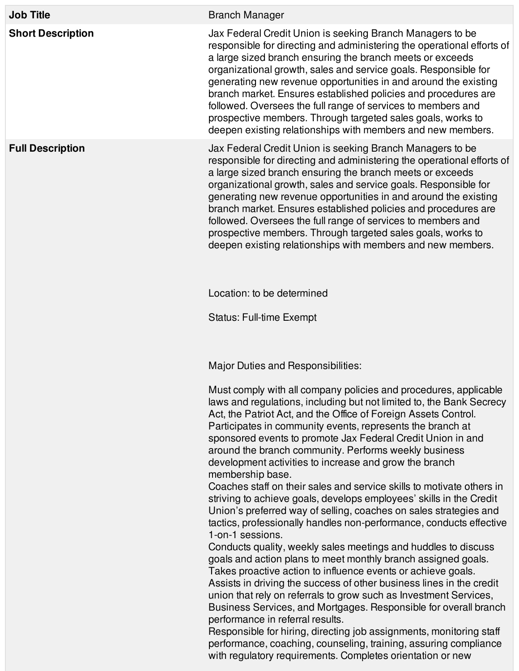| <b>Branch Manager</b>                                                                                                                                                                                                                                                                                                                                                                                                                                                                                                                                                                                                                                                                                                                                                                                                                                                                                                                                                                                                                                                                                                                                                                                                                                                                                                                                                                                                                                            |
|------------------------------------------------------------------------------------------------------------------------------------------------------------------------------------------------------------------------------------------------------------------------------------------------------------------------------------------------------------------------------------------------------------------------------------------------------------------------------------------------------------------------------------------------------------------------------------------------------------------------------------------------------------------------------------------------------------------------------------------------------------------------------------------------------------------------------------------------------------------------------------------------------------------------------------------------------------------------------------------------------------------------------------------------------------------------------------------------------------------------------------------------------------------------------------------------------------------------------------------------------------------------------------------------------------------------------------------------------------------------------------------------------------------------------------------------------------------|
| Jax Federal Credit Union is seeking Branch Managers to be<br>responsible for directing and administering the operational efforts of<br>a large sized branch ensuring the branch meets or exceeds<br>organizational growth, sales and service goals. Responsible for<br>generating new revenue opportunities in and around the existing<br>branch market. Ensures established policies and procedures are<br>followed. Oversees the full range of services to members and<br>prospective members. Through targeted sales goals, works to<br>deepen existing relationships with members and new members.                                                                                                                                                                                                                                                                                                                                                                                                                                                                                                                                                                                                                                                                                                                                                                                                                                                           |
| Jax Federal Credit Union is seeking Branch Managers to be<br>responsible for directing and administering the operational efforts of<br>a large sized branch ensuring the branch meets or exceeds<br>organizational growth, sales and service goals. Responsible for<br>generating new revenue opportunities in and around the existing<br>branch market. Ensures established policies and procedures are<br>followed. Oversees the full range of services to members and<br>prospective members. Through targeted sales goals, works to<br>deepen existing relationships with members and new members.                                                                                                                                                                                                                                                                                                                                                                                                                                                                                                                                                                                                                                                                                                                                                                                                                                                           |
| Location: to be determined                                                                                                                                                                                                                                                                                                                                                                                                                                                                                                                                                                                                                                                                                                                                                                                                                                                                                                                                                                                                                                                                                                                                                                                                                                                                                                                                                                                                                                       |
| <b>Status: Full-time Exempt</b>                                                                                                                                                                                                                                                                                                                                                                                                                                                                                                                                                                                                                                                                                                                                                                                                                                                                                                                                                                                                                                                                                                                                                                                                                                                                                                                                                                                                                                  |
| Major Duties and Responsibilities:                                                                                                                                                                                                                                                                                                                                                                                                                                                                                                                                                                                                                                                                                                                                                                                                                                                                                                                                                                                                                                                                                                                                                                                                                                                                                                                                                                                                                               |
| Must comply with all company policies and procedures, applicable<br>laws and regulations, including but not limited to, the Bank Secrecy<br>Act, the Patriot Act, and the Office of Foreign Assets Control.<br>Participates in community events, represents the branch at<br>sponsored events to promote Jax Federal Credit Union in and<br>around the branch community. Performs weekly business<br>development activities to increase and grow the branch<br>membership base.<br>Coaches staff on their sales and service skills to motivate others in<br>striving to achieve goals, develops employees' skills in the Credit<br>Union's preferred way of selling, coaches on sales strategies and<br>tactics, professionally handles non-performance, conducts effective<br>1-on-1 sessions.<br>Conducts quality, weekly sales meetings and huddles to discuss<br>goals and action plans to meet monthly branch assigned goals.<br>Takes proactive action to influence events or achieve goals.<br>Assists in driving the success of other business lines in the credit<br>union that rely on referrals to grow such as Investment Services,<br>Business Services, and Mortgages. Responsible for overall branch<br>performance in referral results.<br>Responsible for hiring, directing job assignments, monitoring staff<br>performance, coaching, counseling, training, assuring compliance<br>with regulatory requirements. Completes orientation or new |
|                                                                                                                                                                                                                                                                                                                                                                                                                                                                                                                                                                                                                                                                                                                                                                                                                                                                                                                                                                                                                                                                                                                                                                                                                                                                                                                                                                                                                                                                  |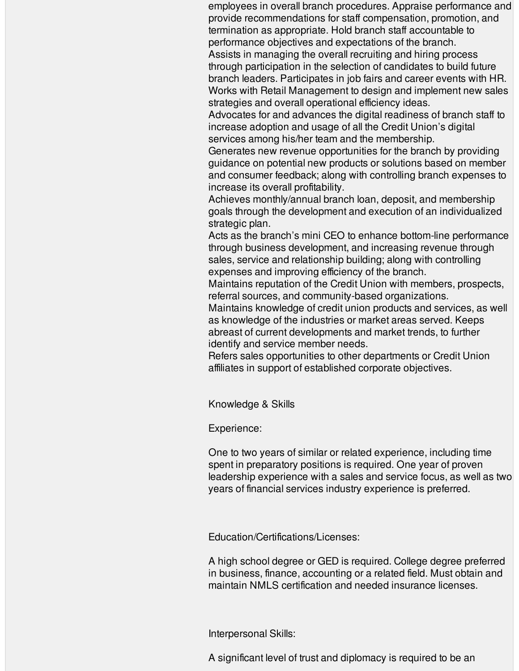employees in overall branch procedures. Appraise performance and provide recommendations for staff compensation, promotion, and termination as appropriate. Hold branch staff accountable to performance objectives and expectations of the branch. Assists in managing the overall recruiting and hiring process through participation in the selection of candidates to build future branch leaders. Participates in job fairs and career events with HR. Works with Retail Management to design and implement new sales strategies and overall operational efficiency ideas.

Advocates for and advances the digital readiness of branch staff to increase adoption and usage of all the Credit Union's digital services among his/her team and the membership.

Generates new revenue opportunities for the branch by providing guidance on potential new products or solutions based on member and consumer feedback; along with controlling branch expenses to increase its overall profitability.

Achieves monthly/annual branch loan, deposit, and membership goals through the development and execution of an individualized strategic plan.

Acts as the branch's mini CEO to enhance bottom-line performance through business development, and increasing revenue through sales, service and relationship building; along with controlling expenses and improving efficiency of the branch.

Maintains reputation of the Credit Union with members, prospects, referral sources, and community-based organizations.

Maintains knowledge of credit union products and services, as well as knowledge of the industries or market areas served. Keeps abreast of current developments and market trends, to further identify and service member needs.

Refers sales opportunities to other departments or Credit Union affiliates in support of established corporate objectives.

Knowledge & Skills

Experience:

One to two years of similar or related experience, including time spent in preparatory positions is required. One year of proven leadership experience with a sales and service focus, as well as two years of financial services industry experience is preferred.

Education/Certifications/Licenses:

A high school degree or GED is required. College degree preferred in business, finance, accounting or a related field. Must obtain and maintain NMLS certification and needed insurance licenses.

Interpersonal Skills:

A significant level of trust and diplomacy is required to be an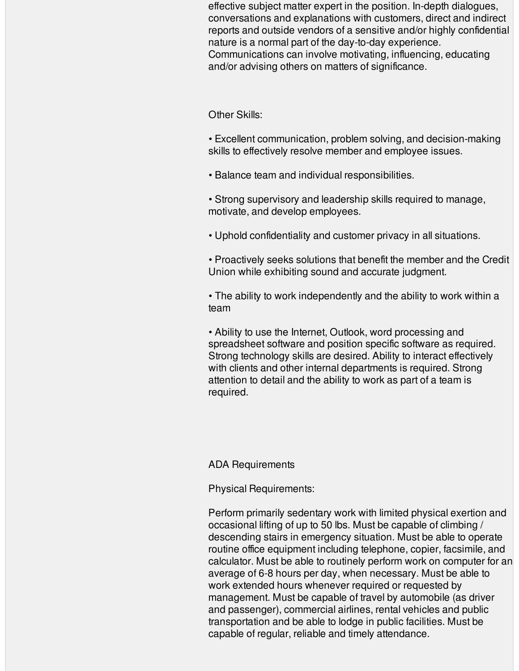effective subject matter expert in the position. In-depth dialogues, conversations and explanations with customers, direct and indirect reports and outside vendors of a sensitive and/or highly confidential nature is a normal part of the day-to-day experience. Communications can involve motivating, influencing, educating and/or advising others on matters of significance.

## Other Skills:

- Excellent communication, problem solving, and decision-making skills to effectively resolve member and employee issues.
- Balance team and individual responsibilities.
- Strong supervisory and leadership skills required to manage, motivate, and develop employees.
- Uphold confidentiality and customer privacy in all situations.
- Proactively seeks solutions that benefit the member and the Credit Union while exhibiting sound and accurate judgment.

• The ability to work independently and the ability to work within a team

• Ability to use the Internet, Outlook, word processing and spreadsheet software and position specific software as required. Strong technology skills are desired. Ability to interact effectively with clients and other internal departments is required. Strong attention to detail and the ability to work as part of a team is required.

## ADA Requirements

Physical Requirements:

Perform primarily sedentary work with limited physical exertion and occasional lifting of up to 50 lbs. Must be capable of climbing / descending stairs in emergency situation. Must be able to operate routine office equipment including telephone, copier, facsimile, and calculator. Must be able to routinely perform work on computer for an average of 6-8 hours per day, when necessary. Must be able to work extended hours whenever required or requested by management. Must be capable of travel by automobile (as driver and passenger), commercial airlines, rental vehicles and public transportation and be able to lodge in public facilities. Must be capable of regular, reliable and timely attendance.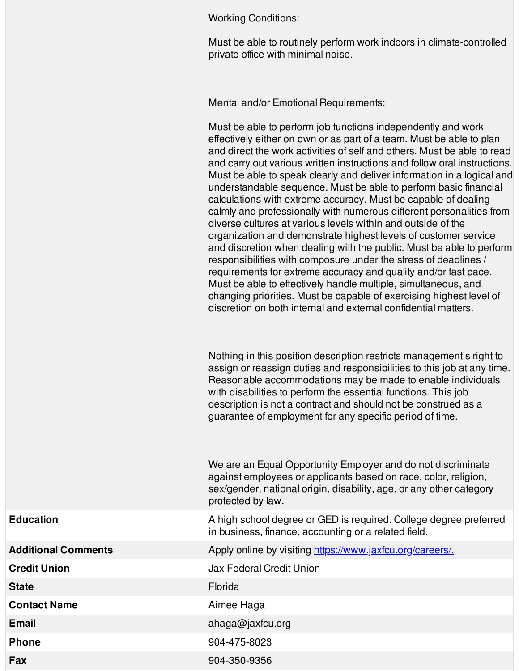Working Conditions:

Must be able to routinely perform work indoors in climate-controlled private office with minimal noise.

Mental and/or Emotional Requirements:

Must be able to perform job functions independently and work effectively either on own or as part of a team. Must be able to plan and direct the work activities of self and others. Must be able to read and carry out various written instructions and follow oral instructions. Must be able to speak clearly and deliver information in a logical and understandable sequence. Must be able to perform basic financial calculations with extreme accuracy. Must be capable of dealing calmly and professionally with numerous different personalities from diverse cultures at various levels within and outside of the organization and demonstrate highest levels of customer service and discretion when dealing with the public. Must be able to perform responsibilities with composure under the stress of deadlines / requirements for extreme accuracy and quality and/or fast pace. Must be able to effectively handle multiple, simultaneous, and changing priorities. Must be capable of exercising highest level of discretion on both internal and external confidential matters.

Nothing in this position description restricts management's right to assign or reassign duties and responsibilities to this job at any time. Reasonable accommodations may be made to enable individuals with disabilities to perform the essential functions. This job description is not a contract and should not be construed as a guarantee of employment for any specific period of time.

We are an Equal Opportunity Employer and do not discriminate against employees or applicants based on race, color, religion, sex/gender, national origin, disability, age, or any other category protected by law.

**Education Education A** high school degree or GED is required. College degree preferred in business, finance, accounting or a related field.

**Additional Comments** Apply online by visiting [https://www.jaxfcu.org/careers/.](https://www.jaxfcu.org/careers/)

**Credit Union** Jax Federal Credit Union

**State** Florida

**Contact Name** Aimee Haga

**Email** ahaga@jaxfcu.org

**Phone** 904-475-8023

**Fax** 904-350-9356